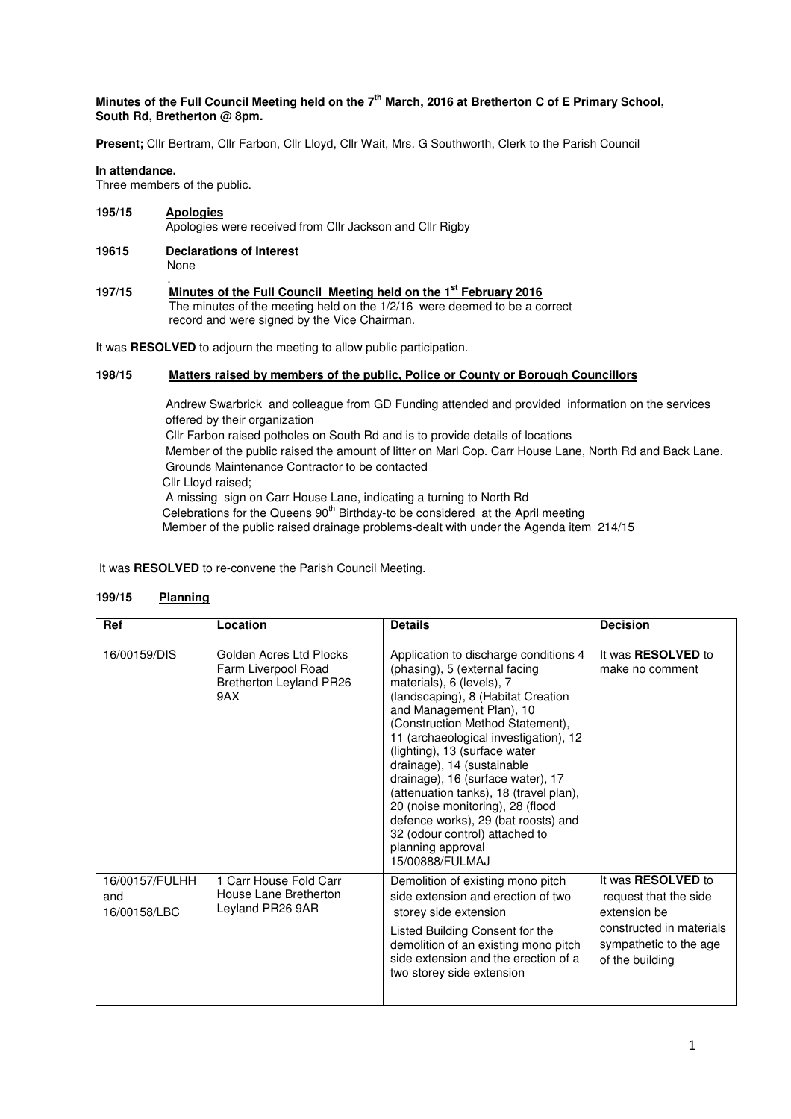# **Minutes of the Full Council Meeting held on the 7th March, 2016 at Bretherton C of E Primary School, South Rd, Bretherton @ 8pm.**

**Present;** Cllr Bertram, Cllr Farbon, Cllr Lloyd, Cllr Wait, Mrs. G Southworth, Clerk to the Parish Council

## **In attendance.**

Three members of the public.

- **195/15 Apologies** Apologies were received from Cllr Jackson and Cllr Rigby
- **19615 Declarations of Interest** None
- . **197/15 Minutes of the Full Council Meeting held on the 1st February 2016**  The minutes of the meeting held on the 1/2/16 were deemed to be a correct record and were signed by the Vice Chairman.

It was **RESOLVED** to adjourn the meeting to allow public participation.

# **198/15 Matters raised by members of the public, Police or County or Borough Councillors**

 Andrew Swarbrick and colleague from GD Funding attended and provided information on the services offered by their organization

 Cllr Farbon raised potholes on South Rd and is to provide details of locations Member of the public raised the amount of litter on Marl Cop. Carr House Lane, North Rd and Back Lane. Grounds Maintenance Contractor to be contacted

Cllr Lloyd raised;

 A missing sign on Carr House Lane, indicating a turning to North Rd Celebrations for the Queens 90<sup>th</sup> Birthday-to be considered at the April meeting Member of the public raised drainage problems-dealt with under the Agenda item 214/15

It was **RESOLVED** to re-convene the Parish Council Meeting.

## **199/15 Planning**

| Ref                                   | Location                                                                         | <b>Details</b>                                                                                                                                                                                                                                                                                                                                                                                                                                                                                                                                        | <b>Decision</b>                                                                                                                      |
|---------------------------------------|----------------------------------------------------------------------------------|-------------------------------------------------------------------------------------------------------------------------------------------------------------------------------------------------------------------------------------------------------------------------------------------------------------------------------------------------------------------------------------------------------------------------------------------------------------------------------------------------------------------------------------------------------|--------------------------------------------------------------------------------------------------------------------------------------|
| 16/00159/DIS                          | Golden Acres Ltd Plocks<br>Farm Liverpool Road<br>Bretherton Leyland PR26<br>9AX | Application to discharge conditions 4<br>(phasing), 5 (external facing<br>materials), 6 (levels), 7<br>(landscaping), 8 (Habitat Creation<br>and Management Plan), 10<br>(Construction Method Statement),<br>11 (archaeological investigation), 12<br>(lighting), 13 (surface water<br>drainage), 14 (sustainable<br>drainage), 16 (surface water), 17<br>(attenuation tanks), 18 (travel plan),<br>20 (noise monitoring), 28 (flood<br>defence works), 29 (bat roosts) and<br>32 (odour control) attached to<br>planning approval<br>15/00888/FULMAJ | It was <b>RESOLVED</b> to<br>make no comment                                                                                         |
| 16/00157/FULHH<br>and<br>16/00158/LBC | 1 Carr House Fold Carr<br>House Lane Bretherton<br>Leyland PR26 9AR              | Demolition of existing mono pitch<br>side extension and erection of two<br>storey side extension<br>Listed Building Consent for the<br>demolition of an existing mono pitch<br>side extension and the erection of a<br>two storey side extension                                                                                                                                                                                                                                                                                                      | It was RESOLVED to<br>request that the side<br>extension be<br>constructed in materials<br>sympathetic to the age<br>of the building |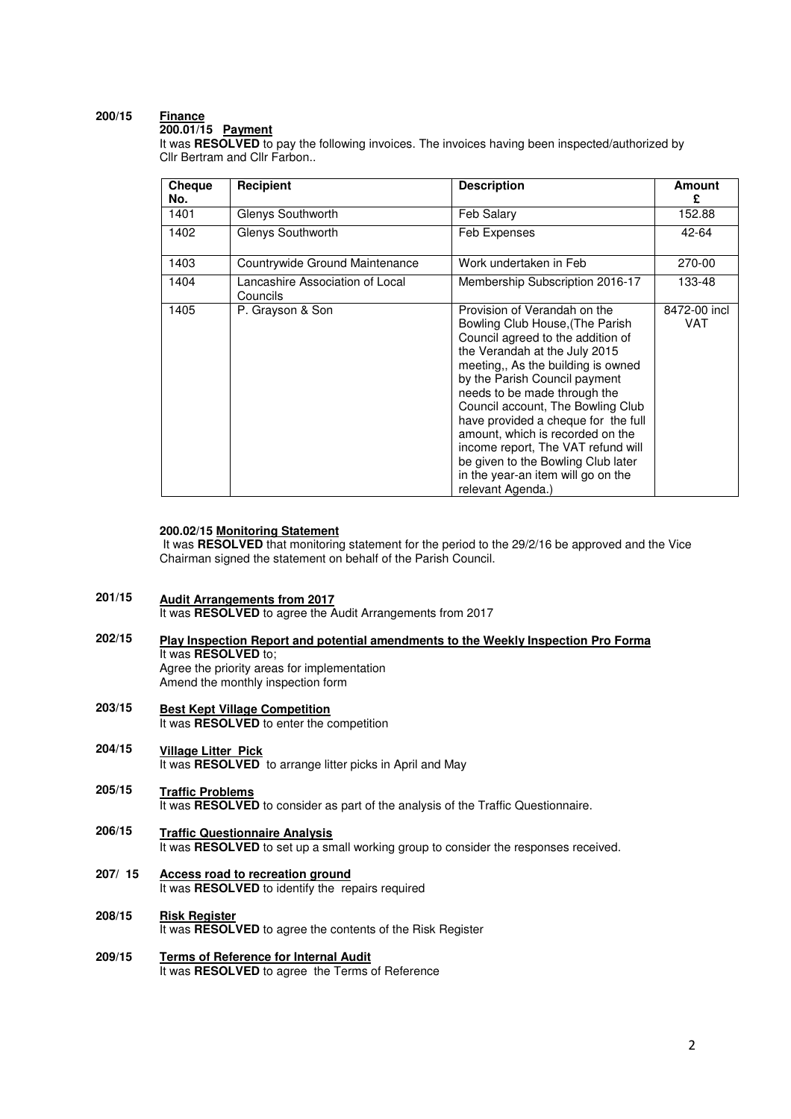### **200/15 Finance**

**200.01/15 Payment** 

It was **RESOLVED** to pay the following invoices. The invoices having been inspected/authorized by Cllr Bertram and Cllr Farbon..

| Cheque<br>No. | Recipient                                   | <b>Description</b>                                                                                                                                                                                                                                                                                                                                                                                                                                                                                  | <b>Amount</b><br>£  |
|---------------|---------------------------------------------|-----------------------------------------------------------------------------------------------------------------------------------------------------------------------------------------------------------------------------------------------------------------------------------------------------------------------------------------------------------------------------------------------------------------------------------------------------------------------------------------------------|---------------------|
| 1401          | Glenys Southworth                           | Feb Salary                                                                                                                                                                                                                                                                                                                                                                                                                                                                                          | 152.88              |
| 1402          | Glenys Southworth                           | Feb Expenses                                                                                                                                                                                                                                                                                                                                                                                                                                                                                        | 42-64               |
| 1403          | Countrywide Ground Maintenance              | Work undertaken in Feb                                                                                                                                                                                                                                                                                                                                                                                                                                                                              | 270-00              |
| 1404          | Lancashire Association of Local<br>Councils | Membership Subscription 2016-17                                                                                                                                                                                                                                                                                                                                                                                                                                                                     | 133-48              |
| 1405          | P. Grayson & Son                            | Provision of Verandah on the<br>Bowling Club House, (The Parish<br>Council agreed to the addition of<br>the Verandah at the July 2015<br>meeting,, As the building is owned<br>by the Parish Council payment<br>needs to be made through the<br>Council account, The Bowling Club<br>have provided a cheque for the full<br>amount, which is recorded on the<br>income report, The VAT refund will<br>be given to the Bowling Club later<br>in the year-an item will go on the<br>relevant Agenda.) | 8472-00 incl<br>VAT |

## **200.02/15 Monitoring Statement**

 It was **RESOLVED** that monitoring statement for the period to the 29/2/16 be approved and the Vice Chairman signed the statement on behalf of the Parish Council.

- **201/15 Audit Arrangements from 2017**  It was **RESOLVED** to agree the Audit Arrangements from 2017
- **202/15 Play Inspection Report and potential amendments to the Weekly Inspection Pro Forma**  It was **RESOLVED** to; Agree the priority areas for implementation Amend the monthly inspection form
- **203/15 Best Kept Village Competition**  It was **RESOLVED** to enter the competition
- **204/15 Village Litter Pick**  It was **RESOLVED** to arrange litter picks in April and May
- **205/15 Traffic Problems**  It was **RESOLVED** to consider as part of the analysis of the Traffic Questionnaire.
- **206/15 Traffic Questionnaire Analysis**  It was **RESOLVED** to set up a small working group to consider the responses received.
- **207/ 15 Access road to recreation ground** It was **RESOLVED** to identify the repairs required
- **208/15 Risk Register**  It was **RESOLVED** to agree the contents of the Risk Register
- **209/15 Terms of Reference for Internal Audit**  It was **RESOLVED** to agree the Terms of Reference